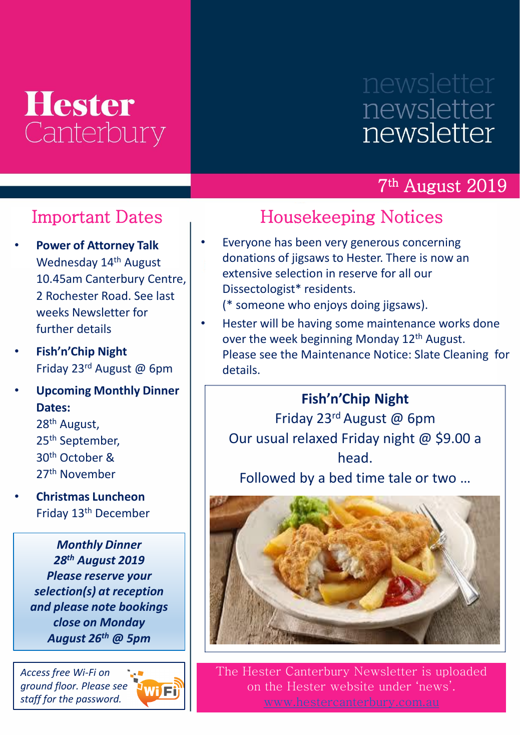## **Hester** Canterbury

# newsletter newsletter

#### 7 th August 2019

#### Important Dates

- **Power of Attorney Talk**  Wednesday 14<sup>th</sup> August 10.45am Canterbury Centre, 2 Rochester Road. See last weeks Newsletter for further details
- **Fish'n'Chip Night** Friday 23rd August @ 6pm
- **Upcoming Monthly Dinner Dates:**

th August, th September, th October & th November

• **Christmas Luncheon**  Friday 13th December

> *Monthly Dinner 28th August 2019 Please reserve your selection(s) at reception and please note bookings close on Monday August 26th @ 5pm*

*Access free Wi-Fi on ground floor. Please see staff for the password.*



### Housekeeping Notices

• Everyone has been very generous concerning donations of jigsaws to Hester. There is now an extensive selection in reserve for all our Dissectologist\* residents.

(\* someone who enjoys doing jigsaws).

Hester will be having some maintenance works done over the week beginning Monday 12<sup>th</sup> August. Please see the Maintenance Notice: Slate Cleaning for details.

#### **Fish'n'Chip Night**

Friday 23rd August @ 6pm Our usual relaxed Friday night @ \$9.00 a head.

Followed by a bed time tale or two …



The Hester Canterbury Newsletter is uploaded on the Hester website under 'news'.